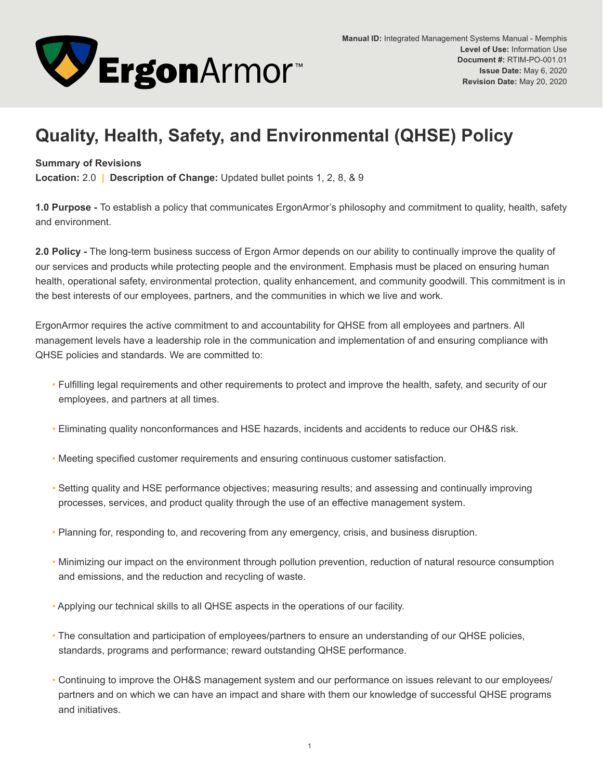

## **Quality, Health, Safety, and Environmental (QHSE) Policy**

## **Summary of Revisions**

**Location:** 2.0 **| Description of Change:** Updated bullet points 1, 2, 8, & 9

**1.0 Purpose -** To establish a policy that communicates ErgonArmor's philosophy and commitment to quality, health, safety and environment.

**2.0 Policy -** The long-term business success of Ergon Armor depends on our ability to continually improve the quality of our services and products while protecting people and the environment. Emphasis must be placed on ensuring human health, operational safety, environmental protection, quality enhancement, and community goodwill. This commitment is in the best interests of our employees, partners, and the communities in which we live and work.

ErgonArmor requires the active commitment to and accountability for QHSE from all employees and partners. All management levels have a leadership role in the communication and implementation of and ensuring compliance with QHSE policies and standards. We are committed to:

- Fulfilling legal requirements and other requirements to protect and improve the health, safety, and security of our employees, and partners at all times.
- Eliminating quality nonconformances and HSE hazards, incidents and accidents to reduce our OH&S risk.
- Meeting specified customer requirements and ensuring continuous customer satisfaction.
- Setting quality and HSE performance objectives; measuring results; and assessing and continually improving processes, services, and product quality through the use of an effective management system.
- Planning for, responding to, and recovering from any emergency, crisis, and business disruption.
- Minimizing our impact on the environment through pollution prevention, reduction of natural resource consumption and emissions, and the reduction and recycling of waste.
- Applying our technical skills to all QHSE aspects in the operations of our facility.
- The consultation and participation of employees/partners to ensure an understanding of our QHSE policies, standards, programs and performance; reward outstanding QHSE performance.
- Continuing to improve the OH&S management system and our performance on issues relevant to our employees/ partners and on which we can have an impact and share with them our knowledge of successful QHSE programs and initiatives.